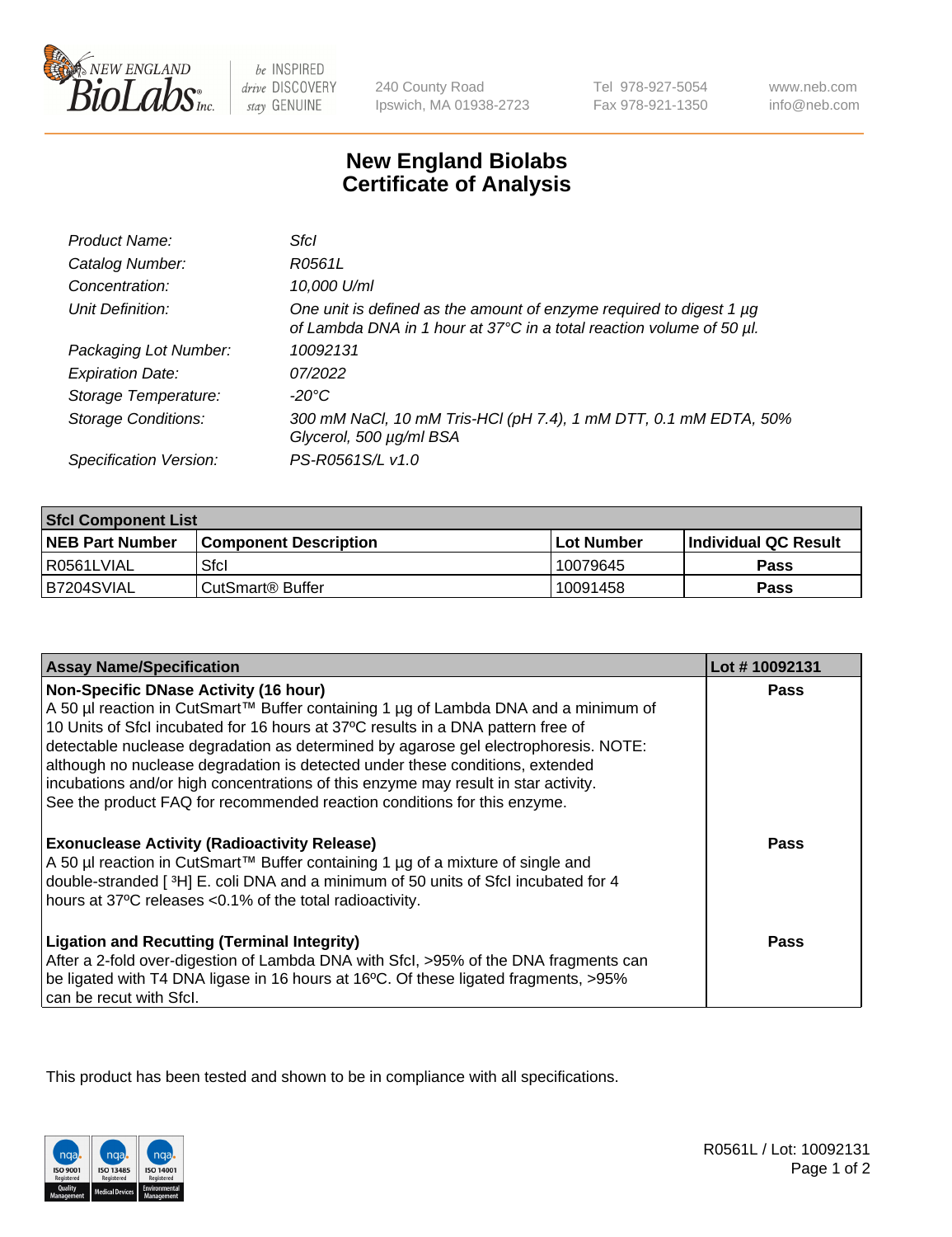

be INSPIRED drive DISCOVERY stay GENUINE

240 County Road Ipswich, MA 01938-2723 Tel 978-927-5054 Fax 978-921-1350

www.neb.com info@neb.com

## **New England Biolabs Certificate of Analysis**

| Product Name:              | Sfcl                                                                                                                                             |
|----------------------------|--------------------------------------------------------------------------------------------------------------------------------------------------|
| Catalog Number:            | R0561L                                                                                                                                           |
| Concentration:             | 10,000 U/ml                                                                                                                                      |
| Unit Definition:           | One unit is defined as the amount of enzyme required to digest 1 $\mu$ g<br>of Lambda DNA in 1 hour at 37°C in a total reaction volume of 50 µl. |
| Packaging Lot Number:      | 10092131                                                                                                                                         |
| <b>Expiration Date:</b>    | 07/2022                                                                                                                                          |
| Storage Temperature:       | $-20^{\circ}$ C                                                                                                                                  |
| <b>Storage Conditions:</b> | 300 mM NaCl, 10 mM Tris-HCl (pH 7.4), 1 mM DTT, 0.1 mM EDTA, 50%<br>Glycerol, 500 µg/ml BSA                                                      |
| Specification Version:     | PS-R0561S/L v1.0                                                                                                                                 |

| <b>Sfcl Component List</b> |                              |              |                             |  |
|----------------------------|------------------------------|--------------|-----------------------------|--|
| <b>NEB Part Number</b>     | <b>Component Description</b> | l Lot Number | <b>Individual QC Result</b> |  |
| I R0561LVIAL               | Sfcl                         | 10079645     | Pass                        |  |
| B7204SVIAL                 | l CutSmart® Buffer           | 10091458     | Pass                        |  |

| <b>Assay Name/Specification</b>                                                                                                                                                                                                                                                          | Lot #10092131 |
|------------------------------------------------------------------------------------------------------------------------------------------------------------------------------------------------------------------------------------------------------------------------------------------|---------------|
| <b>Non-Specific DNase Activity (16 hour)</b><br>A 50 µl reaction in CutSmart™ Buffer containing 1 µg of Lambda DNA and a minimum of<br>10 Units of Sfcl incubated for 16 hours at 37°C results in a DNA pattern free of                                                                  | <b>Pass</b>   |
| detectable nuclease degradation as determined by agarose gel electrophoresis. NOTE:<br>although no nuclease degradation is detected under these conditions, extended<br>incubations and/or high concentrations of this enzyme may result in star activity.                               |               |
| See the product FAQ for recommended reaction conditions for this enzyme.                                                                                                                                                                                                                 |               |
| <b>Exonuclease Activity (Radioactivity Release)</b><br>A 50 µl reaction in CutSmart™ Buffer containing 1 µg of a mixture of single and<br>double-stranded [3H] E. coli DNA and a minimum of 50 units of Sfcl incubated for 4<br>hours at 37°C releases <0.1% of the total radioactivity. | <b>Pass</b>   |
| <b>Ligation and Recutting (Terminal Integrity)</b><br>After a 2-fold over-digestion of Lambda DNA with Sfcl, >95% of the DNA fragments can<br>be ligated with T4 DNA ligase in 16 hours at 16°C. Of these ligated fragments, >95%<br>can be recut with Sfcl.                             | Pass          |

This product has been tested and shown to be in compliance with all specifications.